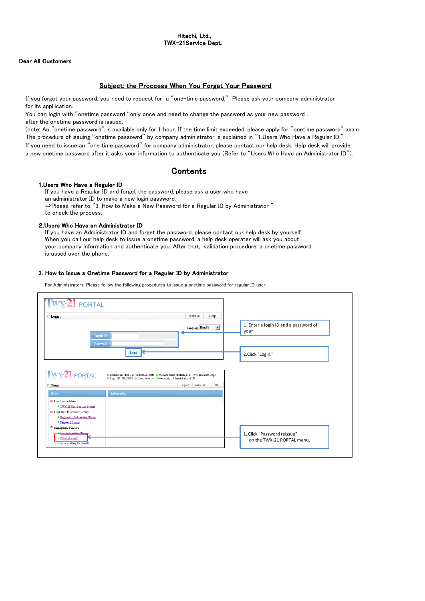### Dear All Customers

## Subject: the Proccess When You Forget Your Password

If you forget your password, you need to request for a "one-time password." Please ask your company administrator for its appllication.

You can login with "onetime password "only once and need to change the password as your new password . after the onetime password is issued.

(note: An "onetime password" is available only for 1 hour. If the time limit exceeded, please apply for "onetime password" again. The procedure of issuing "onetime passowrd" by company administrator is explained in "1.Users Who Have a Regular ID." If you need to issue an "one time password" for company administrator, please contact our help desk. Help desk will provide a new onetime password after it asks your information to authenticate you (Refer to "Users Who Have an Administrator ID").

# **Contents**

#### 1.Users Who Have a Reguler ID

If you have a Regular ID and forget the password, please ask a user who have an administrator ID to make a new login password. ⇒Please refer to "3. How to Make a New Password for a Regular ID by Administrator " to check the process.

#### 2.Users Who Have an Administrator ID

If you have an Administrator ID and forget the password, please contact our help desk by yourself. When you call our help desk to issue a onetime password, a help desk operater will ask you about your company information and authenticate you. After that, validation procedure, a onetime password is ussed over the phone.

### 3. How to Issue a Onetime Password for a Reguler ID by Administrator

For Administrators: Please follow the following procedures to issue a onetime password for regular ID user.